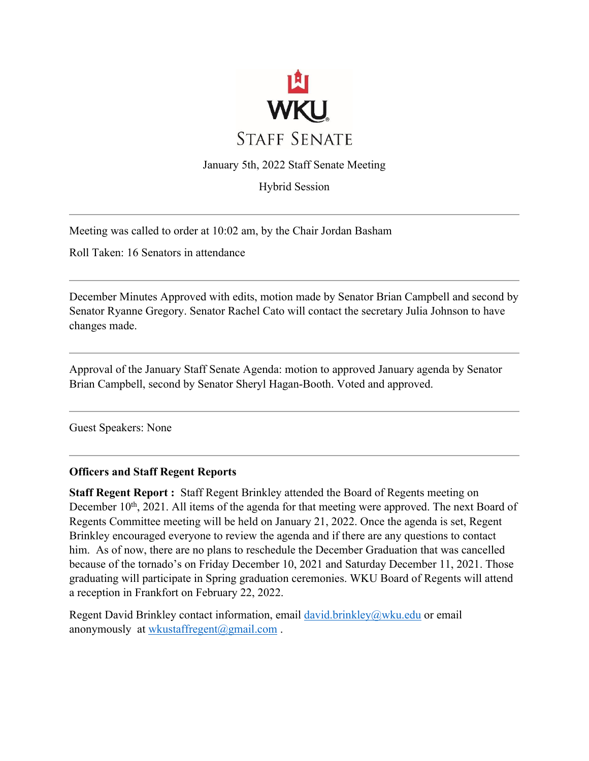

January 5th, 2022 Staff Senate Meeting

Hybrid Session

Meeting was called to order at 10:02 am, by the Chair Jordan Basham

Roll Taken: 16 Senators in attendance

December Minutes Approved with edits, motion made by Senator Brian Campbell and second by Senator Ryanne Gregory. Senator Rachel Cato will contact the secretary Julia Johnson to have changes made.

Approval of the January Staff Senate Agenda: motion to approved January agenda by Senator Brian Campbell, second by Senator Sheryl Hagan-Booth. Voted and approved.

Guest Speakers: None

#### **Officers and Staff Regent Reports**

**Staff Regent Report :** Staff Regent Brinkley attended the Board of Regents meeting on December 10<sup>th</sup>, 2021. All items of the agenda for that meeting were approved. The next Board of Regents Committee meeting will be held on January 21, 2022. Once the agenda is set, Regent Brinkley encouraged everyone to review the agenda and if there are any questions to contact him. As of now, there are no plans to reschedule the December Graduation that was cancelled because of the tornado's on Friday December 10, 2021 and Saturday December 11, 2021. Those graduating will participate in Spring graduation ceremonies. WKU Board of Regents will attend a reception in Frankfort on February 22, 2022.

Regent David Brinkley contact information, email david.brinkley@wku.edu or email anonymously at wkustaffregent@gmail.com.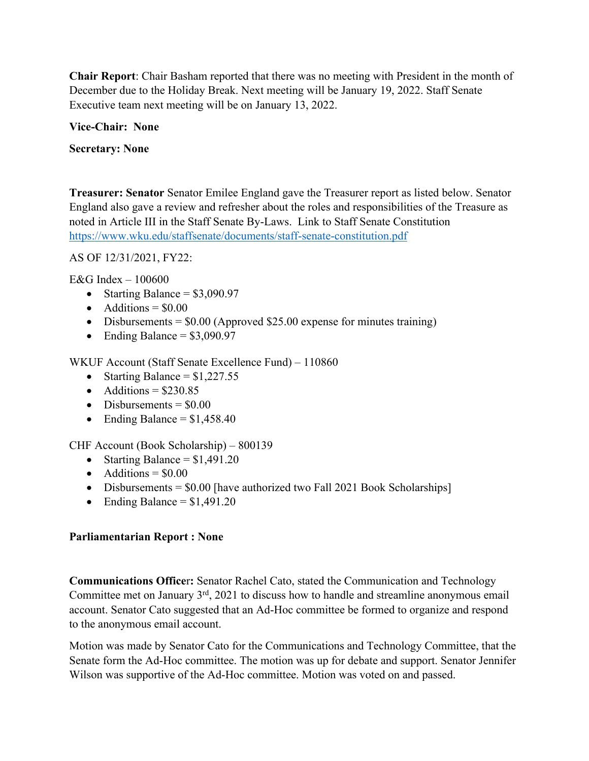**Chair Report**: Chair Basham reported that there was no meeting with President in the month of December due to the Holiday Break. Next meeting will be January 19, 2022. Staff Senate Executive team next meeting will be on January 13, 2022.

## **Vice-Chair: None**

## **Secretary: None**

**Treasurer: Senator** Senator Emilee England gave the Treasurer report as listed below. Senator England also gave a review and refresher about the roles and responsibilities of the Treasure as noted in Article III in the Staff Senate By-Laws. Link to Staff Senate Constitution https://www.wku.edu/staffsenate/documents/staff-senate-constitution.pdf

AS OF 12/31/2021, FY22:

E&G Index – 100600

- Starting Balance =  $$3,090.97$
- Additions  $= $0.00$
- Disbursements =  $$0.00$  (Approved \$25.00 expense for minutes training)
- Ending Balance =  $$3,090.97$

WKUF Account (Staff Senate Excellence Fund) – 110860

- Starting Balance =  $$1,227.55$
- Additions  $= $230.85$
- Disbursements  $= $0.00$
- Ending Balance  $= $1,458.40$

CHF Account (Book Scholarship) – 800139

- Starting Balance  $= $1,491.20$
- Additions  $= $0.00$
- Disbursements  $= $0.00$  [have authorized two Fall 2021 Book Scholarships]
- Ending Balance  $= $1,491.20$

# **Parliamentarian Report : None**

**Communications Office**r**:** Senator Rachel Cato, stated the Communication and Technology Committee met on January 3rd, 2021 to discuss how to handle and streamline anonymous email account. Senator Cato suggested that an Ad-Hoc committee be formed to organize and respond to the anonymous email account.

Motion was made by Senator Cato for the Communications and Technology Committee, that the Senate form the Ad-Hoc committee. The motion was up for debate and support. Senator Jennifer Wilson was supportive of the Ad-Hoc committee. Motion was voted on and passed.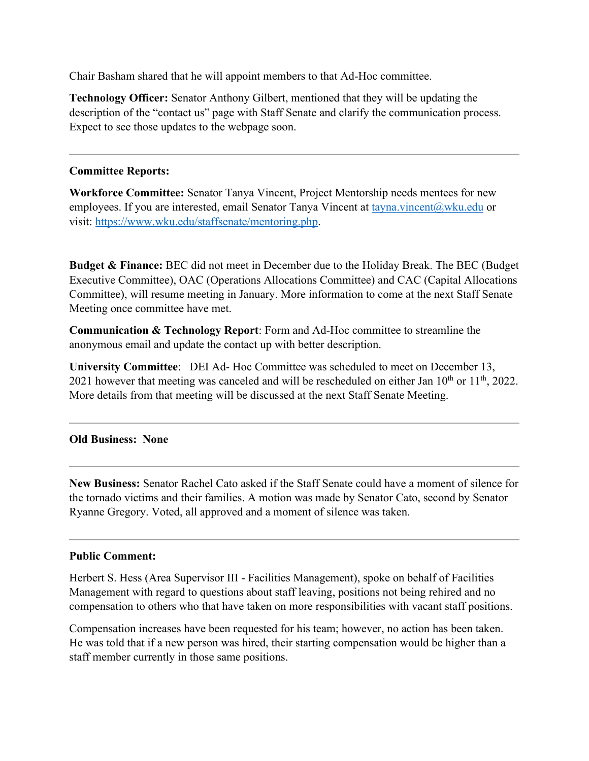Chair Basham shared that he will appoint members to that Ad-Hoc committee.

**Technology Officer:** Senator Anthony Gilbert, mentioned that they will be updating the description of the "contact us" page with Staff Senate and clarify the communication process. Expect to see those updates to the webpage soon.

#### **Committee Reports:**

**Workforce Committee:** Senator Tanya Vincent, Project Mentorship needs mentees for new employees. If you are interested, email Senator Tanya Vincent at tayna.vincent@wku.edu or visit: https://www.wku.edu/staffsenate/mentoring.php.

**Budget & Finance:** BEC did not meet in December due to the Holiday Break. The BEC (Budget Executive Committee), OAC (Operations Allocations Committee) and CAC (Capital Allocations Committee), will resume meeting in January. More information to come at the next Staff Senate Meeting once committee have met.

**Communication & Technology Report**: Form and Ad-Hoc committee to streamline the anonymous email and update the contact up with better description.

**University Committee**: DEI Ad- Hoc Committee was scheduled to meet on December 13, 2021 however that meeting was canceled and will be rescheduled on either Jan 10<sup>th</sup> or 11<sup>th</sup>, 2022. More details from that meeting will be discussed at the next Staff Senate Meeting.

## **Old Business: None**

**New Business:** Senator Rachel Cato asked if the Staff Senate could have a moment of silence for the tornado victims and their families. A motion was made by Senator Cato, second by Senator Ryanne Gregory. Voted, all approved and a moment of silence was taken.

## **Public Comment:**

Herbert S. Hess (Area Supervisor III - Facilities Management), spoke on behalf of Facilities Management with regard to questions about staff leaving, positions not being rehired and no compensation to others who that have taken on more responsibilities with vacant staff positions.

Compensation increases have been requested for his team; however, no action has been taken. He was told that if a new person was hired, their starting compensation would be higher than a staff member currently in those same positions.